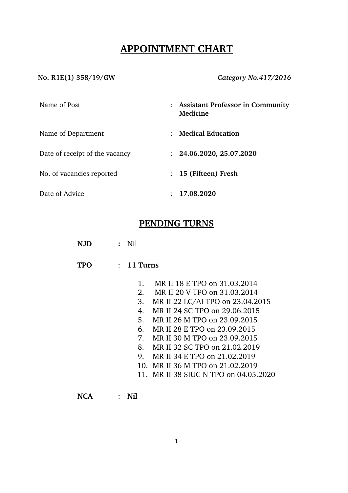# **APPOINTMENT CHART**

#### **No. R1E(1) 358/19/GW** *Category No.417/2016*

| Name of Post                   | : Assistant Professor in Community<br>Medicine |
|--------------------------------|------------------------------------------------|
| Name of Department             | <b>Medical Education</b><br>÷                  |
| Date of receipt of the vacancy | : 24.06.2020, 25.07.2020                       |
| No. of vacancies reported      | : 15 (Fifteen) Fresh                           |
| Date of Advice                 | 17.08.2020                                     |

# **PENDING TURNS**

**NJD :** Nil

**TPO** : **11 Turns**

- 1. MR II 18 E TPO on 31.03.2014
- 2. MR II 20 V TPO on 31.03.2014
- 3. MR II 22 LC/AI TPO on 23.04.2015
- 4. MR II 24 SC TPO on 29.06.2015
- 5. MR II 26 M TPO on 23.09.2015
- 6. MR II 28 E TPO on 23.09.2015
- 7. MR II 30 M TPO on 23.09.2015
- 8. MR II 32 SC TPO on 21.02.2019
- 9. MR II 34 E TPO on 21.02.2019
- 10. MR II 36 M TPO on 21.02.2019
- 11. MR II 38 SIUC N TPO on 04.05.2020

**NCA** : **Nil**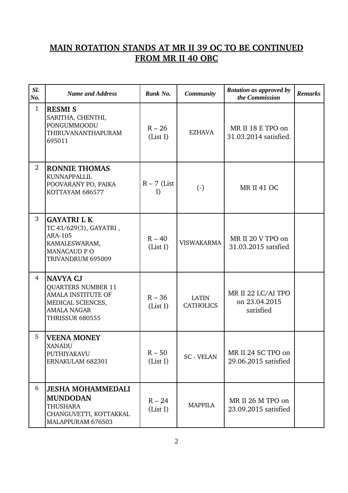# **MAIN ROTATION STANDS AT MR II 39 OC TO BE CONTINUED FROM MR II 40 OBC**

| SI.<br>No.     | <b>Name and Address</b>                                                                                                                        | Rank No.             | <b>Community</b>          | Rotation as approved by<br>the Commission        | <b>Remarks</b> |
|----------------|------------------------------------------------------------------------------------------------------------------------------------------------|----------------------|---------------------------|--------------------------------------------------|----------------|
| $\mathbf{1}$   | <b>RESMI S</b><br>SARITHA, CHENTHI,<br>PONGUMMOODU<br>THIRUVANANTHAPURAM<br>695011                                                             | $R - 26$<br>(List I) | <b>EZHAVA</b>             | MR II 18 E TPO on<br>31.03.2014 satisfied.       |                |
| $\overline{2}$ | <b>RONNIE THOMAS</b><br>KUNNAPPALLIL<br>POOVARANY PO, PAIKA<br>KOTTAYAM 686577                                                                 | $R - 7$ (List<br>I)  | $\left( \cdot \right)$    | <b>MR II 41 OC</b>                               |                |
| 3              | <b>GAYATRI L K</b><br>TC 43/629(3), GAYATRI,<br><b>ARA-105</b><br>KAMALESWARAM,<br><b>MANACAUD P O</b><br>TRIVANDRUM 695009                    | $R - 40$<br>(List I) | <b>VISWAKARMA</b>         | MR II 20 V TPO on<br>31.03.2015 satsfied         |                |
| $\overline{4}$ | <b>NAVYA CJ</b><br><b>QUARTERS NUMBER 11</b><br><b>AMALA INSTITUTE OF</b><br>MEDICAL SCIENCES,<br><b>AMALA NAGAR</b><br><b>THRISSUR 680555</b> | $R - 36$<br>(List I) | LATIN<br><b>CATHOLICS</b> | MR II 22 LC/AI TPO<br>on 23.04.2015<br>satisfied |                |
| 5              | <b>VEENA MONEY</b><br>XANADU<br>PUTHIYAKAVU<br>ERNAKULAM 682301                                                                                | $R - 50$<br>(List I) | <b>SC - VELAN</b>         | MR II 24 SC TPO on<br>29.06.2015 satisfied       |                |
| 6              | <b>JESHA MOHAMMEDALI</b><br><b>MUNDODAN</b><br><b>THUSHARA</b><br>CHANGUVETTI, KOTTAKKAL<br>MALAPPURAM 676503                                  | $R - 24$<br>(List I) | <b>MAPPILA</b>            | MR II 26 M TPO on<br>23.09.2015 satisfied        |                |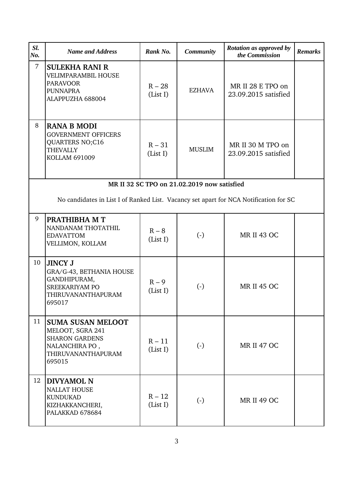| SI.<br>No. | <b>Name and Address</b>                                                                                                 | Rank No.             | <b>Community</b>                            | Rotation as approved by<br>the Commission | <b>Remarks</b> |
|------------|-------------------------------------------------------------------------------------------------------------------------|----------------------|---------------------------------------------|-------------------------------------------|----------------|
| 7          | <b>SULEKHA RANI R</b><br><b>VELIMPARAMBIL HOUSE</b><br><b>PARAVOOR</b><br><b>PUNNAPRA</b><br>ALAPPUZHA 688004           | $R - 28$<br>(List I) | <b>EZHAVA</b>                               | MR II 28 E TPO on<br>23.09.2015 satisfied |                |
| 8          | <b>RANA B MODI</b><br><b>GOVERNMENT OFFICERS</b><br>QUARTERS NO;C16<br><b>THEVALLY</b><br>KOLLAM 691009                 | $R - 31$<br>(List I) | <b>MUSLIM</b>                               | MR II 30 M TPO on<br>23.09.2015 satisfied |                |
|            |                                                                                                                         |                      | MR II 32 SC TPO on 21.02.2019 now satisfied |                                           |                |
|            | No candidates in List I of Ranked List. Vacancy set apart for NCA Notification for SC                                   |                      |                                             |                                           |                |
| 9          | PRATHIBHA M T<br>NANDANAM THOTATHIL<br><b>EDAVATTOM</b><br>VELLIMON, KOLLAM                                             | $R - 8$<br>(List I)  | $\left( -\right)$                           | <b>MR II 43 OC</b>                        |                |
| 10         | <b>JINCY J</b><br>GRA/G-43, BETHANIA HOUSE<br>GANDHIPURAM,<br><b>SREEKARIYAM PO</b><br>THIRUVANANTHAPURAM<br>695017     | $R - 9$<br>(List I)  | $\left( -\right)$                           | <b>MR II 45 OC</b>                        |                |
| 11         | <b>SUMA SUSAN MELOOT</b><br>MELOOT, SGRA 241<br><b>SHARON GARDENS</b><br>NALANCHIRA PO,<br>THIRUVANANTHAPURAM<br>695015 | $R - 11$<br>(List I) | $\left( -\right)$                           | <b>MR II 47 OC</b>                        |                |
| 12         | <b>DIVYAMOL N</b><br><b>NALLAT HOUSE</b><br><b>KUNDUKAD</b><br>KIZHAKKANCHERI,<br>PALAKKAD 678684                       | $R - 12$<br>(List I) | $\left( \cdot \right)$                      | <b>MR II 49 OC</b>                        |                |